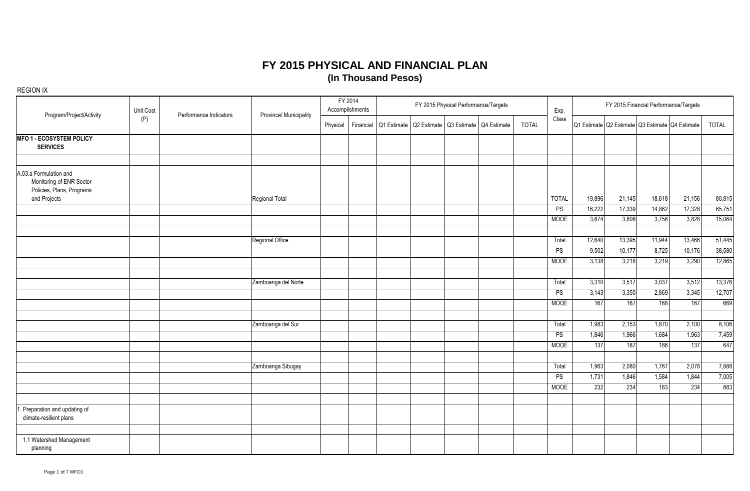| Program/Project/Activity                                                                        | Unit Cost | Performance Indicators | Province/ Municipality | FY 2014<br>Accomplishments |           |  | FY 2015 Physical Performance/Targets                  |  |              | Exp.         | FY 2015 Financial Performance/Targets |        |                                                 |        |              |  |  |
|-------------------------------------------------------------------------------------------------|-----------|------------------------|------------------------|----------------------------|-----------|--|-------------------------------------------------------|--|--------------|--------------|---------------------------------------|--------|-------------------------------------------------|--------|--------------|--|--|
|                                                                                                 | (P)       |                        |                        | Physical                   | Financial |  | Q1 Estimate   Q2 Estimate   Q3 Estimate   Q4 Estimate |  | <b>TOTAL</b> | Class        |                                       |        | Q1 Estimate Q2 Estimate Q3 Estimate Q4 Estimate |        | <b>TOTAL</b> |  |  |
| <b>MFO 1 - ECOSYSTEM POLICY</b><br><b>SERVICES</b>                                              |           |                        |                        |                            |           |  |                                                       |  |              |              |                                       |        |                                                 |        |              |  |  |
| A.03.a Formulation and<br>Monitoring of ENR Sector<br>Policies, Plans, Programs<br>and Projects |           |                        | Regional Total         |                            |           |  |                                                       |  |              | <b>TOTAL</b> | 19,896                                | 21,145 | 18,618                                          | 21,156 | 80,815       |  |  |
|                                                                                                 |           |                        |                        |                            |           |  |                                                       |  |              | PS           | 16,222                                | 17,339 | 14,862                                          | 17,328 | 65,751       |  |  |
|                                                                                                 |           |                        |                        |                            |           |  |                                                       |  |              | MOOE         | 3,674                                 | 3,806  | 3,756                                           | 3,828  | 15,064       |  |  |
|                                                                                                 |           |                        | Regional Office        |                            |           |  |                                                       |  |              | Total        | 12,640                                | 13,395 | 11,944                                          | 13,466 | 51,445       |  |  |
|                                                                                                 |           |                        |                        |                            |           |  |                                                       |  |              | PS           | 9,502                                 | 10,177 | 8,725                                           | 10,176 | 38,580       |  |  |
|                                                                                                 |           |                        |                        |                            |           |  |                                                       |  |              | MOOE         | 3,138                                 | 3,218  | 3,219                                           | 3,290  | 12,865       |  |  |
|                                                                                                 |           |                        |                        |                            |           |  |                                                       |  |              |              |                                       |        |                                                 |        |              |  |  |
|                                                                                                 |           |                        | Zamboanga del Norte    |                            |           |  |                                                       |  |              | Total        | 3,310                                 | 3,517  | 3,037                                           | 3,512  | 13,376       |  |  |
|                                                                                                 |           |                        |                        |                            |           |  |                                                       |  |              | PS           | 3,143                                 | 3,350  | 2,869                                           | 3,345  | 12,707       |  |  |
|                                                                                                 |           |                        |                        |                            |           |  |                                                       |  |              | <b>MOOE</b>  | 167                                   | 167    | 168                                             | 167    | 669          |  |  |
|                                                                                                 |           |                        | Zamboanga del Sur      |                            |           |  |                                                       |  |              | Total        | 1,983                                 | 2,153  | 1,870                                           | 2,100  | 8,106        |  |  |
|                                                                                                 |           |                        |                        |                            |           |  |                                                       |  |              | PS           | 1,846                                 | 1,966  | 1,684                                           | 1,963  | 7,459        |  |  |
|                                                                                                 |           |                        |                        |                            |           |  |                                                       |  |              | <b>MOOE</b>  | 137                                   | 187    | 186                                             | 137    | 647          |  |  |
|                                                                                                 |           |                        | Zamboanga Sibugay      |                            |           |  |                                                       |  |              | Total        | 1,963                                 | 2,080  | 1,767                                           | 2,078  | 7,888        |  |  |
|                                                                                                 |           |                        |                        |                            |           |  |                                                       |  |              | PS           | 1,731                                 | 1,846  | 1,584                                           | 1,844  | 7,005        |  |  |
|                                                                                                 |           |                        |                        |                            |           |  |                                                       |  |              | <b>MOOE</b>  | 232                                   | 234    | 183                                             | 234    | 883          |  |  |
|                                                                                                 |           |                        |                        |                            |           |  |                                                       |  |              |              |                                       |        |                                                 |        |              |  |  |
| . Preparation and updating of<br>climate-resilient plans                                        |           |                        |                        |                            |           |  |                                                       |  |              |              |                                       |        |                                                 |        |              |  |  |
|                                                                                                 |           |                        |                        |                            |           |  |                                                       |  |              |              |                                       |        |                                                 |        |              |  |  |
| 1.1 Watershed Management<br>planning                                                            |           |                        |                        |                            |           |  |                                                       |  |              |              |                                       |        |                                                 |        |              |  |  |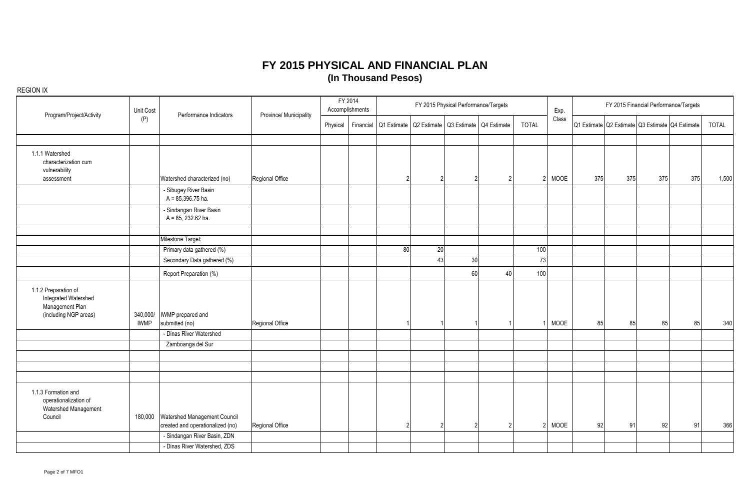| Program/Project/Activity                                                                 | Unit Cost   | Performance Indicators                                           |                        | FY 2014<br>Accomplishments | FY 2015 Physical Performance/Targets |                 |                                         |    |              | Exp.                  | FY 2015 Financial Performance/Targets |     |     |                                                 |              |  |
|------------------------------------------------------------------------------------------|-------------|------------------------------------------------------------------|------------------------|----------------------------|--------------------------------------|-----------------|-----------------------------------------|----|--------------|-----------------------|---------------------------------------|-----|-----|-------------------------------------------------|--------------|--|
|                                                                                          | (P)         |                                                                  | Province/ Municipality | Physical<br>Financial      | Q1 Estimate                          |                 | Q2 Estimate   Q3 Estimate   Q4 Estimate |    | <b>TOTAL</b> | Class                 |                                       |     |     | Q1 Estimate Q2 Estimate Q3 Estimate Q4 Estimate | <b>TOTAL</b> |  |
|                                                                                          |             |                                                                  |                        |                            |                                      |                 |                                         |    |              |                       |                                       |     |     |                                                 |              |  |
| 1.1.1 Watershed<br>characterization cum<br>vulnerability<br>assessment                   |             | Watershed characterized (no)                                     | Regional Office        |                            |                                      |                 |                                         |    |              | MOOE<br>2             | 375                                   | 375 | 375 | 375                                             | 1,500        |  |
|                                                                                          |             | - Sibugey River Basin<br>$A = 85,396.75$ ha.                     |                        |                            |                                      |                 |                                         |    |              |                       |                                       |     |     |                                                 |              |  |
|                                                                                          |             | - Sindangan River Basin<br>A = 85, 232.62 ha.                    |                        |                            |                                      |                 |                                         |    |              |                       |                                       |     |     |                                                 |              |  |
|                                                                                          |             | Milestone Target:                                                |                        |                            |                                      |                 |                                         |    |              |                       |                                       |     |     |                                                 |              |  |
|                                                                                          |             | Primary data gathered (%)                                        |                        |                            | 80                                   | $\overline{20}$ |                                         |    | 100          |                       |                                       |     |     |                                                 |              |  |
|                                                                                          |             | Secondary Data gathered (%)                                      |                        |                            |                                      | 43              | 30 <sup>1</sup>                         |    | 73           |                       |                                       |     |     |                                                 |              |  |
|                                                                                          |             | Report Preparation (%)                                           |                        |                            |                                      |                 | 60                                      | 40 | 100          |                       |                                       |     |     |                                                 |              |  |
| 1.1.2 Preparation of<br>Integrated Watershed<br>Management Plan<br>(including NGP areas) | <b>IWMP</b> | 340,000/   IWMP prepared and<br>submitted (no)                   | Regional Office        |                            |                                      |                 |                                         |    |              | MOOE                  | 85                                    | 85  | 85  | 85                                              | 340          |  |
|                                                                                          |             | - Dinas River Watershed                                          |                        |                            |                                      |                 |                                         |    |              |                       |                                       |     |     |                                                 |              |  |
|                                                                                          |             | Zamboanga del Sur                                                |                        |                            |                                      |                 |                                         |    |              |                       |                                       |     |     |                                                 |              |  |
|                                                                                          |             |                                                                  |                        |                            |                                      |                 |                                         |    |              |                       |                                       |     |     |                                                 |              |  |
|                                                                                          |             |                                                                  |                        |                            |                                      |                 |                                         |    |              |                       |                                       |     |     |                                                 |              |  |
| 1.1.3 Formation and<br>operationalization of<br>Watershed Management<br>Council          | 180,000     | Watershed Management Council<br>created and operationalized (no) | Regional Office        |                            |                                      | 2               |                                         |    |              | MOOE<br>$\mathcal{P}$ | 92                                    | 91  | 92  | 91                                              | 366          |  |
|                                                                                          |             | - Sindangan River Basin, ZDN                                     |                        |                            |                                      |                 |                                         |    |              |                       |                                       |     |     |                                                 |              |  |
|                                                                                          |             | - Dinas River Watershed, ZDS                                     |                        |                            |                                      |                 |                                         |    |              |                       |                                       |     |     |                                                 |              |  |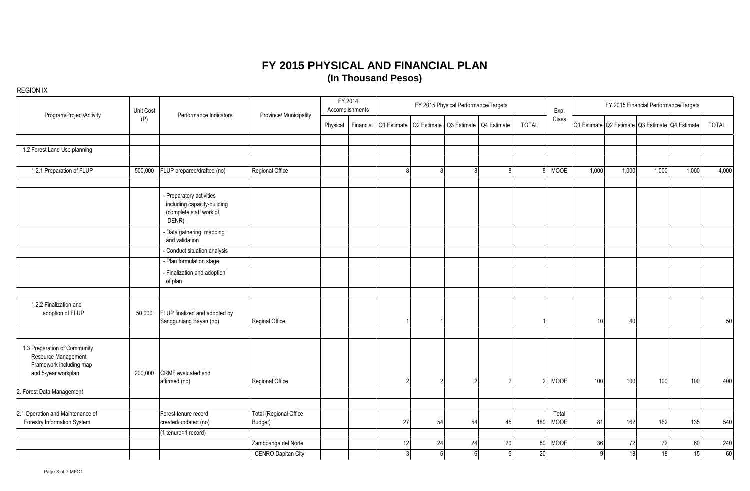| Program/Project/Activity                                                                              | Unit Cost | Performance Indicators                                                                      | Province/ Municipality                   |          | FY 2014<br>Accomplishments |                | FY 2015 Physical Performance/Targets |                |                                                                   |              | Exp.          | FY 2015 Financial Performance/Targets           |          |       |              |  |  |  |
|-------------------------------------------------------------------------------------------------------|-----------|---------------------------------------------------------------------------------------------|------------------------------------------|----------|----------------------------|----------------|--------------------------------------|----------------|-------------------------------------------------------------------|--------------|---------------|-------------------------------------------------|----------|-------|--------------|--|--|--|
|                                                                                                       | (P)       |                                                                                             |                                          | Physical |                            |                |                                      |                | Financial   Q1 Estimate   Q2 Estimate   Q3 Estimate   Q4 Estimate | <b>TOTAL</b> | Class         | Q1 Estimate Q2 Estimate Q3 Estimate Q4 Estimate |          |       | <b>TOTAL</b> |  |  |  |
| 1.2 Forest Land Use planning                                                                          |           |                                                                                             |                                          |          |                            |                |                                      |                |                                                                   |              |               |                                                 |          |       |              |  |  |  |
|                                                                                                       |           |                                                                                             |                                          |          |                            |                |                                      |                |                                                                   |              |               |                                                 |          |       |              |  |  |  |
| 1.2.1 Preparation of FLUP                                                                             | 500,000   | FLUP prepared/drafted (no)                                                                  | Regional Office                          |          |                            | R              | $\mathbf{8}$                         | $\mathsf{R}$   | 8                                                                 |              | 8 MOOE        | 1,000<br>1,000                                  | 1,000    | 1,000 | 4,000        |  |  |  |
|                                                                                                       |           | - Preparatory activities<br>including capacity-building<br>(complete staff work of<br>DENR) |                                          |          |                            |                |                                      |                |                                                                   |              |               |                                                 |          |       |              |  |  |  |
|                                                                                                       |           | - Data gathering, mapping<br>and validation                                                 |                                          |          |                            |                |                                      |                |                                                                   |              |               |                                                 |          |       |              |  |  |  |
|                                                                                                       |           | - Conduct situation analysis                                                                |                                          |          |                            |                |                                      |                |                                                                   |              |               |                                                 |          |       |              |  |  |  |
|                                                                                                       |           | - Plan formulation stage                                                                    |                                          |          |                            |                |                                      |                |                                                                   |              |               |                                                 |          |       |              |  |  |  |
|                                                                                                       |           | - Finalization and adoption<br>of plan                                                      |                                          |          |                            |                |                                      |                |                                                                   |              |               |                                                 |          |       |              |  |  |  |
|                                                                                                       |           |                                                                                             |                                          |          |                            |                |                                      |                |                                                                   |              |               |                                                 |          |       |              |  |  |  |
| 1.2.2 Finalization and<br>adoption of FLUP                                                            | 50,000    | FLUP finalized and adopted by<br>Sangguniang Bayan (no)                                     | Reginal Office                           |          |                            |                |                                      |                |                                                                   |              |               | 10<br>40                                        |          |       | 50           |  |  |  |
| 1.3 Preparation of Community<br>Resource Management<br>Framework including map<br>and 5-year workplan | 200,000   | CRMF evaluated and<br>affirmed (no)                                                         | Regional Office                          |          |                            |                | 2                                    |                |                                                                   | 2            | <b>MOOE</b>   | 100<br>100                                      | 100      | 100   | 400          |  |  |  |
| 2. Forest Data Management                                                                             |           |                                                                                             |                                          |          |                            |                |                                      |                |                                                                   |              |               |                                                 |          |       |              |  |  |  |
|                                                                                                       |           |                                                                                             |                                          |          |                            |                |                                      |                |                                                                   |              |               |                                                 |          |       |              |  |  |  |
| 2.1 Operation and Maintenance of<br>Forestry Information System                                       |           | Forest tenure record<br>created/updated (no)                                                | <b>Total (Regional Office</b><br>Budget) |          |                            | 27             | 54                                   | 54             | 45                                                                | 180          | Total<br>MOOE | 81<br>162                                       | 162      | 135   | 540          |  |  |  |
|                                                                                                       |           | (1 tenure=1 record)                                                                         |                                          |          |                            |                |                                      |                |                                                                   |              |               |                                                 |          |       |              |  |  |  |
|                                                                                                       |           |                                                                                             | Zamboanga del Norte                      |          |                            | 12             | 24                                   | 24             | 20                                                                | 80           | <b>MOOE</b>   | 36                                              | 72<br>72 | 60    | 240          |  |  |  |
|                                                                                                       |           |                                                                                             | <b>CENRO Dapitan City</b>                |          |                            | $\overline{3}$ | 6 <sup>1</sup>                       | 6 <sup>1</sup> | 5 <sup>1</sup>                                                    | 20           |               | 9                                               | 18<br>18 | 15    | 60           |  |  |  |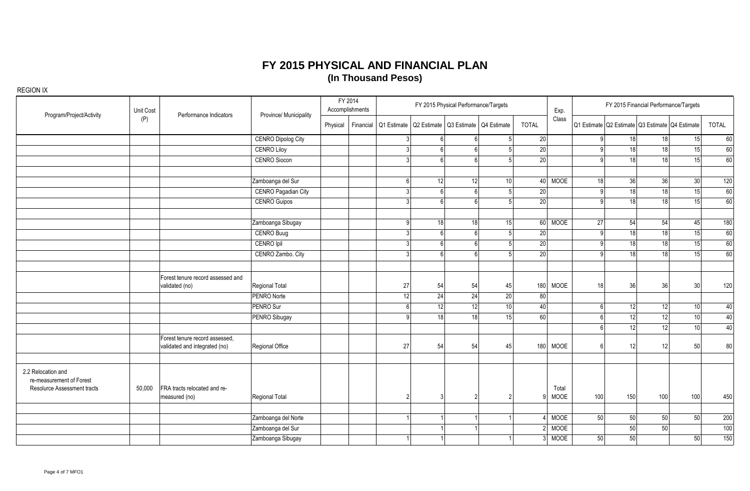| Program/Project/Activity                                                      | Unit Cost | Performance Indicators                                          | Province/ Municipality     | FY 2014<br>Accomplishments | FY 2015 Physical Performance/Targets |                                         |                 |                 |                 | Exp.                 | FY 2015 Financial Performance/Targets |                 |          |                                                 |          |  |  |  |
|-------------------------------------------------------------------------------|-----------|-----------------------------------------------------------------|----------------------------|----------------------------|--------------------------------------|-----------------------------------------|-----------------|-----------------|-----------------|----------------------|---------------------------------------|-----------------|----------|-------------------------------------------------|----------|--|--|--|
|                                                                               | (P)       |                                                                 |                            |                            | Physical   Financial   Q1 Estimate   | Q2 Estimate   Q3 Estimate   Q4 Estimate |                 |                 | <b>TOTAL</b>    | Class                |                                       |                 |          | Q1 Estimate Q2 Estimate Q3 Estimate Q4 Estimate | TOTAL    |  |  |  |
|                                                                               |           |                                                                 | <b>CENRO Dipolog City</b>  |                            |                                      | 6                                       |                 |                 | 20              |                      |                                       | 18              | 18       | 15                                              | 60       |  |  |  |
|                                                                               |           |                                                                 | <b>CENRO Liloy</b>         |                            |                                      | 6 <sup>1</sup>                          |                 | 5               | 20              |                      |                                       | 18              | 18       | 15                                              | 60       |  |  |  |
|                                                                               |           |                                                                 | <b>CENRO Siocon</b>        |                            |                                      | 6 <sup>1</sup>                          |                 |                 | $\overline{20}$ |                      |                                       | 18 <sup>1</sup> | 18       | 15 <sup>1</sup>                                 | 60       |  |  |  |
|                                                                               |           |                                                                 | Zamboanga del Sur          |                            |                                      | 12                                      | 12              | 10 <sup>1</sup> |                 | 40 MOOE              | 18                                    | 36              | 36       | 30 <sub>2</sub>                                 | 120      |  |  |  |
|                                                                               |           |                                                                 | <b>CENRO Pagadian City</b> |                            |                                      | 6 <sup>1</sup>                          |                 | 5               | 20              |                      |                                       | 18 <sup>1</sup> | 18       | 15                                              | 60       |  |  |  |
|                                                                               |           |                                                                 | <b>CENRO Guipos</b>        |                            |                                      | 6 <sup>1</sup>                          |                 |                 | 20              |                      |                                       | 18 <sup>1</sup> | 18       | 15                                              | 60       |  |  |  |
|                                                                               |           |                                                                 | Zamboanga Sibugay          |                            | O                                    | 18                                      | 18 <sup>1</sup> | 15              |                 | 60 MOOE              | 27                                    | 54              | 54       | 45                                              | 180      |  |  |  |
|                                                                               |           |                                                                 | <b>CENRO Buug</b>          |                            |                                      | 6 <sup>1</sup>                          |                 | $\sqrt{2}$      | 20              |                      |                                       | 18              | 18       | 15                                              | 60       |  |  |  |
|                                                                               |           |                                                                 | CENRO Ipil                 |                            | Č                                    | 6 <sup>1</sup>                          |                 | 5               | 20              |                      |                                       | 18              | 18       | 15                                              | 60       |  |  |  |
|                                                                               |           |                                                                 | CENRO Zambo. City          |                            | ς                                    | 6 <sup>1</sup>                          | ĥ               | 5               | $\overline{20}$ |                      |                                       | 18              | 18       | 15 <sup>1</sup>                                 | 60       |  |  |  |
|                                                                               |           | Forest tenure record assessed and<br>validated (no)             | Regional Total             |                            | 27                                   | 54                                      | 54              | 45              | 180             | <b>MOOE</b>          | 18                                    | 36              | 36       | 30                                              | 120      |  |  |  |
|                                                                               |           |                                                                 | PENRO Norte                |                            | 12                                   | 24                                      | 24              | 20              | 80              |                      |                                       |                 |          |                                                 |          |  |  |  |
|                                                                               |           |                                                                 | PENRO Sur                  |                            | ĥ                                    | 12                                      | 12              | 10 <sup>1</sup> | 40              |                      |                                       | 12              | 12       | 10 <sup>1</sup>                                 | 40       |  |  |  |
|                                                                               |           |                                                                 | PENRO Sibugay              |                            | $\Omega$                             | 18                                      | 18 <sup>1</sup> | 15              | 60              |                      |                                       | 12              | 12       | 10 <sup>1</sup>                                 | 40       |  |  |  |
|                                                                               |           | Forest tenure record assessed,<br>validated and integrated (no) | Regional Office            |                            | 27                                   | 54                                      | 54              | 45              | 180             | <b>MOOE</b>          |                                       | 12<br>12        | 12<br>12 | 10 <sup>1</sup><br>50                           | 40<br>80 |  |  |  |
| 2.2 Relocation and<br>re-measurement of Forest<br>Resolurce Assessment tracts | 50,000    | FRA tracts relocated and re-<br>measured (no)                   | Regional Total             |                            | 2                                    |                                         |                 |                 | q               | Total<br><b>MOOE</b> | 100                                   | 150             | 100      | 100                                             | 450      |  |  |  |
|                                                                               |           |                                                                 |                            |                            |                                      |                                         |                 |                 |                 |                      |                                       |                 |          |                                                 |          |  |  |  |
|                                                                               |           |                                                                 | Zamboanga del Norte        |                            |                                      |                                         |                 |                 |                 | MOOE                 | 50                                    | 50 <sup>1</sup> | 50       | 50                                              | 200      |  |  |  |
|                                                                               |           |                                                                 | Zamboanga del Sur          |                            |                                      |                                         |                 |                 |                 | MOOE                 |                                       | 50              | 50       |                                                 | 100      |  |  |  |
|                                                                               |           |                                                                 | Zamboanga Sibugay          |                            |                                      |                                         |                 |                 |                 | <b>MOOE</b>          | 50                                    | 50              |          | 50                                              | 150      |  |  |  |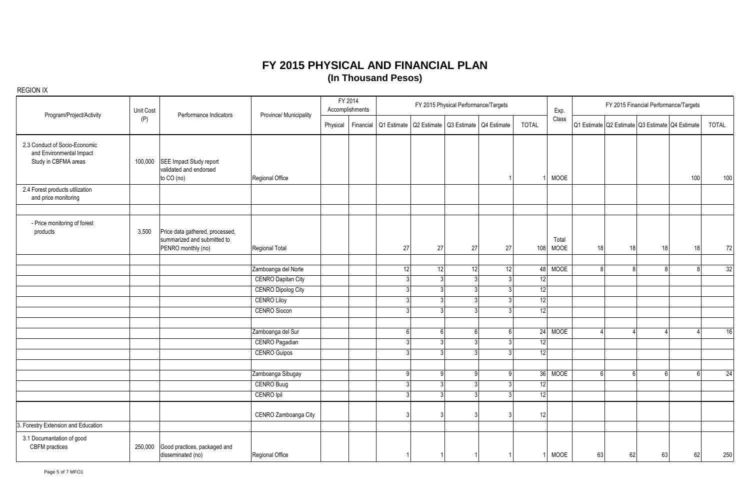| Program/Project/Activity                                                          | Unit Cost | Performance Indicators                                                               | Province/ Municipality    |          | FY 2014<br>Accomplishments |             |              |                                     | FY 2015 Physical Performance/Targets |              |               | FY 2015 Financial Performance/Targets<br>Exp. |    |    |                                                 |              |  |  |
|-----------------------------------------------------------------------------------|-----------|--------------------------------------------------------------------------------------|---------------------------|----------|----------------------------|-------------|--------------|-------------------------------------|--------------------------------------|--------------|---------------|-----------------------------------------------|----|----|-------------------------------------------------|--------------|--|--|
|                                                                                   | (P)       |                                                                                      |                           | Physical | Financial                  | Q1 Estimate |              | Q2 Estimate Q3 Estimate Q4 Estimate |                                      | <b>TOTAL</b> | Class         |                                               |    |    | Q1 Estimate Q2 Estimate Q3 Estimate Q4 Estimate | <b>TOTAL</b> |  |  |
| 2.3 Conduct of Socio-Economic<br>and Environmental Impact<br>Study in CBFMA areas |           | 100,000 SEE Impact Study report<br>validated and endorsed<br>to CO (no)              | Regional Office           |          |                            |             |              |                                     |                                      |              | MOOE          |                                               |    |    | 100                                             | 100          |  |  |
| 2.4 Forest products utilization<br>and price monitoring                           |           |                                                                                      |                           |          |                            |             |              |                                     |                                      |              |               |                                               |    |    |                                                 |              |  |  |
| - Price monitoring of forest<br>products                                          | 3,500     | Price data gathered, processed,<br>summarized and submitted to<br>PENRO monthly (no) | Regional Total            |          |                            | 27          | 27           | 27                                  | 27                                   | 108          | Total<br>MOOE | 18                                            | 18 | 18 | 18                                              | 72           |  |  |
|                                                                                   |           |                                                                                      | Zamboanga del Norte       |          |                            | 12          | 12           | 12                                  | 12                                   |              | 48 MOOE       | 8                                             | Я  |    | 8                                               | 32           |  |  |
|                                                                                   |           |                                                                                      | <b>CENRO Dapitan City</b> |          |                            |             |              | $\overline{3}$<br>$\mathbf{R}$      | 3 <sup>1</sup>                       | 12           |               |                                               |    |    |                                                 |              |  |  |
|                                                                                   |           |                                                                                      | <b>CENRO Dipolog City</b> |          |                            | s           |              | $\overline{3}$<br>્રી               | 3 <sup>l</sup>                       | 12           |               |                                               |    |    |                                                 |              |  |  |
|                                                                                   |           |                                                                                      | <b>CENRO Liloy</b>        |          |                            |             |              | $\overline{3}$<br>$\mathbf{z}$      | $\overline{3}$                       | 12           |               |                                               |    |    |                                                 |              |  |  |
|                                                                                   |           |                                                                                      | <b>CENRO Siocon</b>       |          |                            |             | $\mathbf{3}$ | 3                                   | 3                                    | 12           |               |                                               |    |    |                                                 |              |  |  |
|                                                                                   |           |                                                                                      | Zamboanga del Sur         |          |                            |             |              | 6 <sup>1</sup><br>-61               | 6 <sup>1</sup>                       |              | 24 MOOE       |                                               |    |    |                                                 | 16           |  |  |
|                                                                                   |           |                                                                                      | <b>CENRO Pagadian</b>     |          |                            |             | $\mathbf{3}$ | 3                                   | 3                                    | 12           |               |                                               |    |    |                                                 |              |  |  |
|                                                                                   |           |                                                                                      | <b>CENRO Guipos</b>       |          |                            |             |              | $\overline{3}$<br>3                 | -31                                  | 12           |               |                                               |    |    |                                                 |              |  |  |
|                                                                                   |           |                                                                                      | Zamboanga Sibugay         |          |                            |             | g            | a                                   | 9 <sup>1</sup>                       |              | 36 MOOE       | 6                                             | ี  |    | 6                                               | 24           |  |  |
|                                                                                   |           |                                                                                      | CENRO Buug                |          |                            |             |              | $\overline{3}$<br>२                 | 3                                    | 12           |               |                                               |    |    |                                                 |              |  |  |
|                                                                                   |           |                                                                                      | CENRO Ipil                |          |                            |             |              | $\overline{3}$<br>ર                 | 3 <sup>l</sup>                       | 12           |               |                                               |    |    |                                                 |              |  |  |
|                                                                                   |           |                                                                                      | CENRO Zamboanga City      |          |                            |             |              |                                     |                                      | 12           |               |                                               |    |    |                                                 |              |  |  |
| 3. Forestry Extension and Education                                               |           |                                                                                      |                           |          |                            |             |              |                                     |                                      |              |               |                                               |    |    |                                                 |              |  |  |
| 3.1 Documantation of good<br>CBFM practices                                       | 250,000   | Good practices, packaged and<br>disseminated (no)                                    | Regional Office           |          |                            |             |              |                                     |                                      |              | MOOE          | 63                                            | 62 | 63 | 62                                              | 250          |  |  |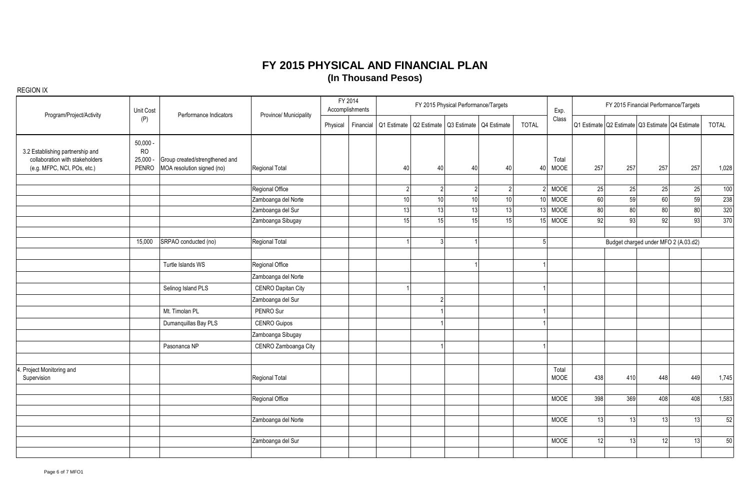| Program/Project/Activity                                                                           | Unit Cost                                                                                                         | Performance Indicators | Province/ Municipality | FY 2014<br>Accomplishments |             |                | FY 2015 Physical Performance/Targets |             |                 | Exp.          | FY 2015 Financial Performance/Targets |                 |                                      |                                                 |                 |  |  |
|----------------------------------------------------------------------------------------------------|-------------------------------------------------------------------------------------------------------------------|------------------------|------------------------|----------------------------|-------------|----------------|--------------------------------------|-------------|-----------------|---------------|---------------------------------------|-----------------|--------------------------------------|-------------------------------------------------|-----------------|--|--|
|                                                                                                    | (P)                                                                                                               |                        |                        | Physical<br>Financial      | Q1 Estimate |                | Q2 Estimate   Q3 Estimate            | Q4 Estimate | <b>TOTAL</b>    | Class         |                                       |                 |                                      | Q1 Estimate Q2 Estimate Q3 Estimate Q4 Estimate | TOTAL           |  |  |
| 3.2 Establishing partnership and<br>collaboration with stakeholders<br>(e.g. MFPC, NCI, POs, etc.) | $50,000 -$<br><b>RO</b><br>25,000<br>Group created/strengthened and<br><b>PENRO</b><br>MOA resolution signed (no) | Regional Total         |                        | 40                         | 40          | 40             | 40                                   | 40          | Total<br>MOOE   | 257           | 257                                   | 257             | 257                                  | 1,028                                           |                 |  |  |
|                                                                                                    |                                                                                                                   |                        | Regional Office        |                            |             | $\mathfrak{p}$ |                                      | 2           |                 | <b>MOOE</b>   | 25                                    | 25              | 25                                   | 25                                              | 100             |  |  |
|                                                                                                    |                                                                                                                   |                        | Zamboanga del Norte    |                            | 10          | 10             | 10                                   | 10          | 10 <sup>1</sup> | <b>MOOE</b>   | 60                                    | 59              | 60                                   | 59                                              | 238             |  |  |
|                                                                                                    |                                                                                                                   |                        | Zamboanga del Sur      |                            | 13          | 13             | 13                                   | 13          | 13              | <b>MOOE</b>   | 80                                    | 80              | 80                                   | 80                                              | 320             |  |  |
|                                                                                                    |                                                                                                                   |                        | Zamboanga Sibugay      |                            | 15          | 15             | 15 <sup>1</sup>                      | 15          | 15              | <b>MOOE</b>   | 92                                    | 93 <sup>1</sup> | 92                                   | 93                                              | 370             |  |  |
|                                                                                                    | SRPAO conducted (no)<br>15,000                                                                                    |                        | Regional Total         |                            |             | ς              |                                      |             | $\sqrt{2}$      |               |                                       |                 | Budget charged under MFO 2 (A.03.d2) |                                                 |                 |  |  |
|                                                                                                    |                                                                                                                   | Turtle Islands WS      | Regional Office        |                            |             |                |                                      |             |                 |               |                                       |                 |                                      |                                                 |                 |  |  |
|                                                                                                    |                                                                                                                   |                        | Zamboanga del Norte    |                            |             |                |                                      |             |                 |               |                                       |                 |                                      |                                                 |                 |  |  |
|                                                                                                    |                                                                                                                   | Selinog Island PLS     | CENRO Dapitan City     |                            |             |                |                                      |             |                 |               |                                       |                 |                                      |                                                 |                 |  |  |
|                                                                                                    |                                                                                                                   |                        | Zamboanga del Sur      |                            |             | 2              |                                      |             |                 |               |                                       |                 |                                      |                                                 |                 |  |  |
|                                                                                                    |                                                                                                                   | Mt. Timolan PL         | PENRO Sur              |                            |             |                |                                      |             |                 |               |                                       |                 |                                      |                                                 |                 |  |  |
|                                                                                                    |                                                                                                                   | Dumanquillas Bay PLS   | <b>CENRO Guipos</b>    |                            |             |                |                                      |             |                 |               |                                       |                 |                                      |                                                 |                 |  |  |
|                                                                                                    |                                                                                                                   |                        | Zamboanga Sibugay      |                            |             |                |                                      |             |                 |               |                                       |                 |                                      |                                                 |                 |  |  |
|                                                                                                    |                                                                                                                   | Pasonanca NP           | CENRO Zamboanga City   |                            |             |                |                                      |             |                 |               |                                       |                 |                                      |                                                 |                 |  |  |
| . Project Monitoring and<br>Supervision                                                            |                                                                                                                   |                        | Regional Total         |                            |             |                |                                      |             |                 | Total<br>MOOE | 438                                   | 410             | 448                                  | 449                                             | 1,745           |  |  |
|                                                                                                    |                                                                                                                   |                        | Regional Office        |                            |             |                |                                      |             |                 | <b>MOOE</b>   | 398                                   | 369             | 408                                  | 408                                             | 1,583           |  |  |
|                                                                                                    |                                                                                                                   |                        |                        |                            |             |                |                                      |             |                 |               |                                       |                 |                                      |                                                 |                 |  |  |
|                                                                                                    |                                                                                                                   |                        | Zamboanga del Norte    |                            |             |                |                                      |             |                 | <b>MOOE</b>   | 13                                    | 13 <sup>1</sup> | 13                                   | 13                                              | 52              |  |  |
|                                                                                                    |                                                                                                                   |                        | Zamboanga del Sur      |                            |             |                |                                      |             |                 | <b>MOOE</b>   | 12                                    | 13              | 12                                   | 13                                              | $\overline{50}$ |  |  |
|                                                                                                    |                                                                                                                   |                        |                        |                            |             |                |                                      |             |                 |               |                                       |                 |                                      |                                                 |                 |  |  |